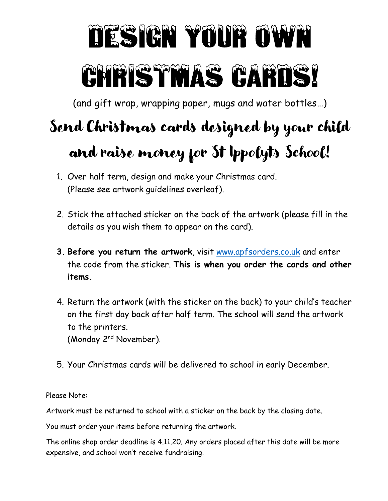## TESIGN YOUR OWN CHRESTMAS CARDS!

(and gift wrap, wrapping paper, mugs and water bottles…)

## Send Christmas cards designed by your child and raise money for St Ippolyts School!

- 1. Over half term, design and make your Christmas card. (Please see artwork guidelines overleaf).
- 2. Stick the attached sticker on the back of the artwork (please fill in the details as you wish them to appear on the card).
- 3. Before you return the artwork, visit www.apfsorders.co.uk and enter the code from the sticker. This is when you order the cards and other items.
- 4. Return the artwork (with the sticker on the back) to your child's teacher on the first day back after half term. The school will send the artwork to the printers. (Monday 2nd November).
- 5. Your Christmas cards will be delivered to school in early December.

Please Note:

Artwork must be returned to school with a sticker on the back by the closing date.

You must order your items before returning the artwork.

The online shop order deadline is 4.11.20. Any orders placed after this date will be more expensive, and school won't receive fundraising.